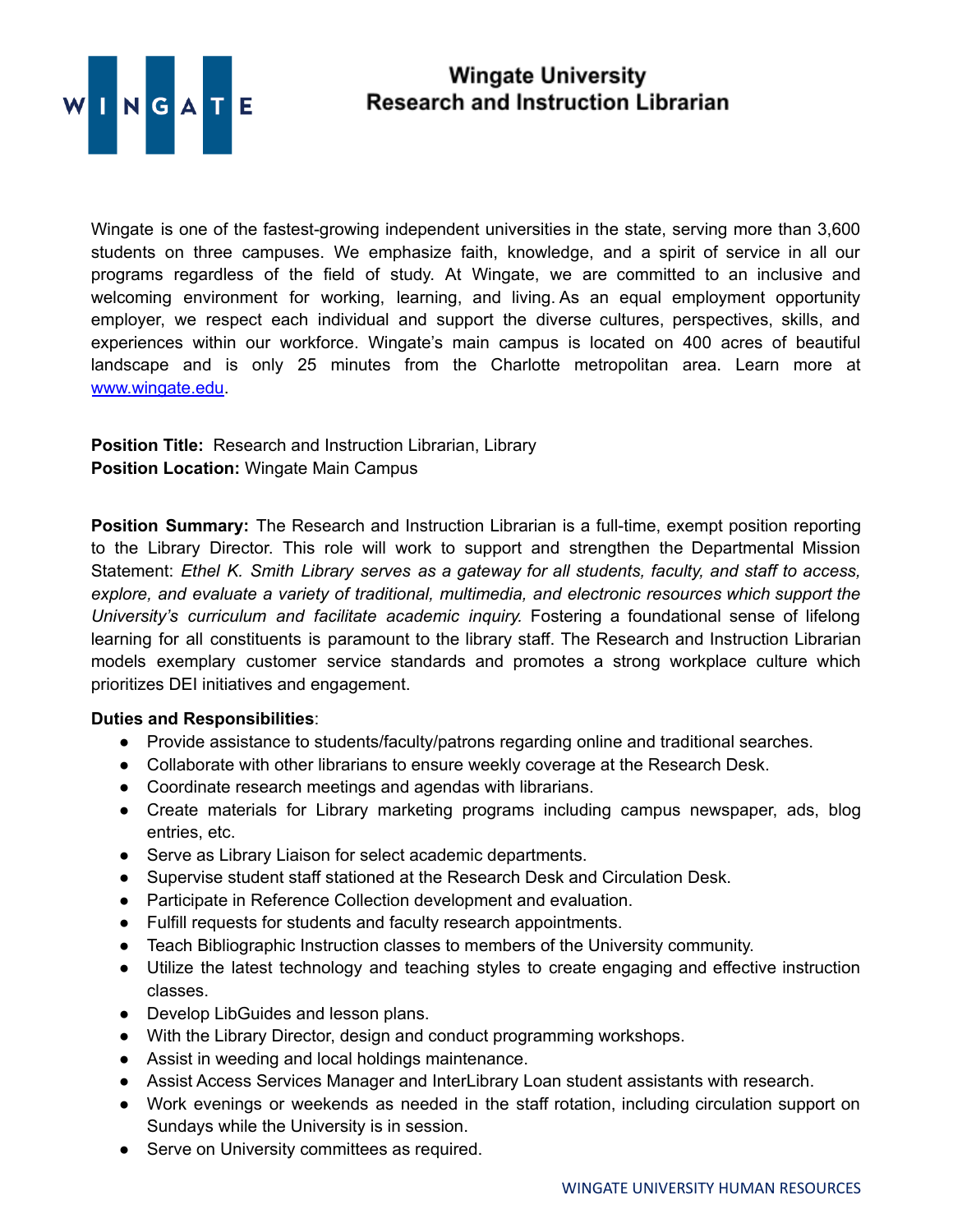

## **Wingate University Research and Instruction Librarian**

Wingate is one of the fastest-growing independent universities in the state, serving more than 3,600 students on three campuses. We emphasize faith, knowledge, and a spirit of service in all our programs regardless of the field of study. At Wingate, we are committed to an inclusive and welcoming environment for working, learning, and living. As an equal employment opportunity employer, we respect each individual and support the diverse cultures, perspectives, skills, and experiences within our workforce. Wingate's main campus is located on 400 acres of beautiful landscape and is only 25 minutes from the Charlotte metropolitan area. Learn more at [www.wingate.edu](http://www.wingate/edu).

**Position Title:** Research and Instruction Librarian, Library **Position Location:** Wingate Main Campus

**Position Summary:** The Research and Instruction Librarian is a full-time, exempt position reporting to the Library Director. This role will work to support and strengthen the Departmental Mission Statement: *Ethel K. Smith Library serves as a gateway for all students, faculty, and staff to access, explore, and evaluate a variety of traditional, multimedia, and electronic resources which support the University's curriculum and facilitate academic inquiry.* Fostering a foundational sense of lifelong learning for all constituents is paramount to the library staff. The Research and Instruction Librarian models exemplary customer service standards and promotes a strong workplace culture which prioritizes DEI initiatives and engagement.

## **Duties and Responsibilities**:

- Provide assistance to students/faculty/patrons regarding online and traditional searches.
- Collaborate with other librarians to ensure weekly coverage at the Research Desk.
- Coordinate research meetings and agendas with librarians.
- Create materials for Library marketing programs including campus newspaper, ads, blog entries, etc.
- Serve as Library Liaison for select academic departments.
- Supervise student staff stationed at the Research Desk and Circulation Desk.
- Participate in Reference Collection development and evaluation.
- Fulfill requests for students and faculty research appointments.
- Teach Bibliographic Instruction classes to members of the University community.
- Utilize the latest technology and teaching styles to create engaging and effective instruction classes.
- Develop LibGuides and lesson plans.
- With the Library Director, design and conduct programming workshops.
- Assist in weeding and local holdings maintenance.
- Assist Access Services Manager and InterLibrary Loan student assistants with research.
- Work evenings or weekends as needed in the staff rotation, including circulation support on Sundays while the University is in session.
- Serve on University committees as required.